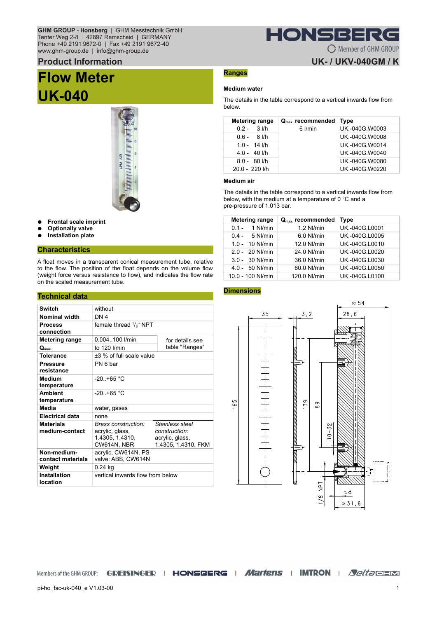## GHM GROUP - Honsberg | GHM Messtechnik GmbH Tenter Weg 2-8 | 42897 Remscheid | GERMANY<br>Phone +49 2191 9672-0 | Fax +49 2191 9672-40 www.ghm-group.de | info@ghm-group.de

### **Product Information**

# **Flow Meter UK-040**



- **Frontal scale imprint**
- **Optionally valve**
- **Installation plate**

#### **Characteristics**

A float moves in a transparent conical measurement tube, relative to the flow. The position of the float depends on the volume flow (weight force versus resistance to flow), and indicates the flow rate on the scaled measurement tube.

#### **Technical data**

| <b>Switch</b>                      | without                                                                  |                                                                            |
|------------------------------------|--------------------------------------------------------------------------|----------------------------------------------------------------------------|
| <b>Nominal width</b>               | DN <sub>4</sub>                                                          |                                                                            |
| <b>Process</b><br>connection       | female thread $\frac{1}{8}$ " NPT                                        |                                                                            |
| <b>Metering range</b>              | 0.004.100 l/min                                                          | for details see                                                            |
| $Q_{\text{max}}$                   | to 120 l/min                                                             | table "Ranges"                                                             |
| <b>Tolerance</b>                   | +3 % of full scale value                                                 |                                                                            |
| <b>Pressure</b><br>resistance      | PN 6 bar                                                                 |                                                                            |
| Medium<br>temperature              | $-20. +65 °C$                                                            |                                                                            |
| <b>Ambient</b><br>temperature      | $-20 + 65 °C$                                                            |                                                                            |
| Media                              | water, gases                                                             |                                                                            |
| <b>Electrical data</b>             | none                                                                     |                                                                            |
| <b>Materials</b><br>medium-contact | Brass construction:<br>acrylic, glass,<br>1.4305, 1.4310,<br>CW614N, NBR | Stainless steel<br>construction:<br>acrylic, glass,<br>1.4305, 1.4310, FKM |
| Non-medium-<br>contact materials   | acrylic, CW614N, PS<br>valve: ABS, CW614N                                |                                                                            |
| Weight                             | 0.24 kg                                                                  |                                                                            |
| <b>Installation</b><br>location    | vertical inwards flow from below                                         |                                                                            |

# **Ranges**

#### **Medium water**

The details in the table correspond to a vertical inwards flow from below.

HONSBERG

C Member of GHM GROUP

**UK-/UKV-040GM/K** 

| Metering range | $Q_{\text{max}}$ recommended | <b>Type</b>    |
|----------------|------------------------------|----------------|
| $0.2 - 3$ l/h  | 6 l/min                      | UK.-040G.W0003 |
| $0.6 - 8$ I/h  |                              | UK.-040G.W0008 |
| $1.0 - 14$ I/h |                              | UK -040G W0014 |
| $4.0 - 40$ I/h |                              | UK -040G W0040 |
| $8.0 - 80$ I/h |                              | UK.-040G.W0080 |
| 20.0 - 220 l/h |                              | UK.-040G.W0220 |

#### **Medium air**

The details in the table correspond to a vertical inwards flow from below, with the medium at a temperature of 0 °C and a pre-pressure of 1.013 bar.

| Metering range      | $Q_{\text{max}}$ recommended | <b>Type</b>    |
|---------------------|------------------------------|----------------|
| 1 Nl/min<br>01-     | $1.2$ NI/min                 | UK.-040G.L0001 |
| $0.4 - 5$ NI/min    | $6.0$ NI/min                 | UK.-040G.L0005 |
| $1.0 - 10$ NI/min   | 12.0 NJ/min                  | UK.-040G.L0010 |
| $2.0 - 20$ NI/min   | 24.0 NJ/min                  | UK.-040G.L0020 |
| 3.0 - 30 NI/min     | 36.0 NJ/min                  | UK.-040G.L0030 |
| 4.0 - 50 NI/min     | 60.0 NJ/min                  | UK.-040G.L0050 |
| $10.0 - 100$ NI/min | 120.0 NI/min                 | UK.-040G.L0100 |

#### **Dimensions**



Members of the GHM GROUP: GREISINGER | HONSBERG | Martens | IMTRON | *Nelta* OHM